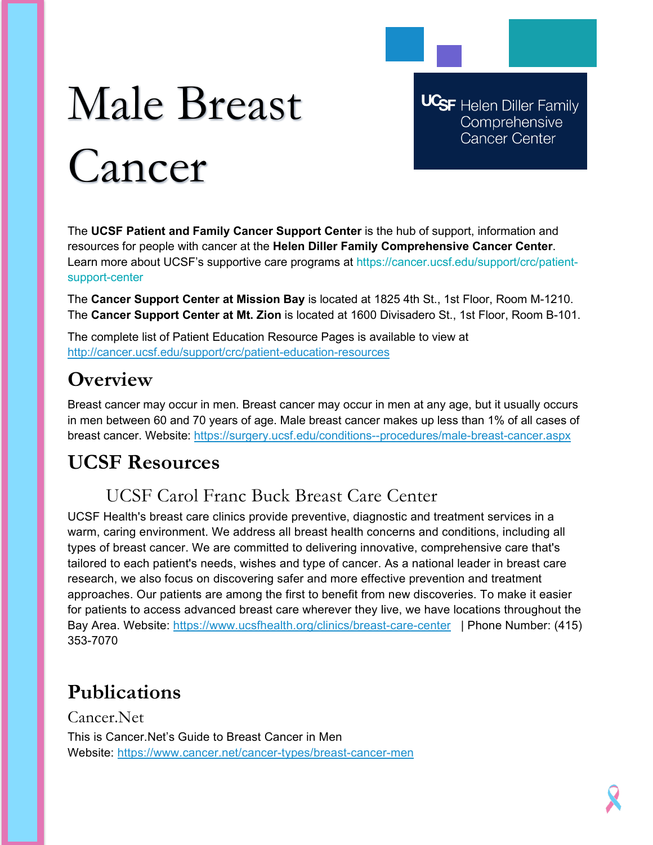# Male Breast Cancer

**UCSF** Helen Diller Family Comprehensive **Cancer Center** 

The **UCSF Patient and Family Cancer Support Center** is the hub of support, information and resources for people with cancer at the **Helen Diller Family Comprehensive Cancer Center**. Learn more about UCSF's supportive care programs at https://cancer.ucsf.edu/support/crc/patientsupport-center

The **Cancer Support Center at Mission Bay** is located at 1825 4th St., 1st Floor, Room M-1210. The **Cancer Support Center at Mt. Zion** is located at 1600 Divisadero St., 1st Floor, Room B-101.

The complete list of Patient Education Resource Pages is available to view at <http://cancer.ucsf.edu/support/crc/patient-education-resources>

# **Overview**

Breast cancer may occur in men. Breast cancer may occur in men at any age, but it usually occurs in men between 60 and 70 years of age. Male breast cancer makes up less than 1% of all cases of breast cancer. Website:<https://surgery.ucsf.edu/conditions--procedures/male-breast-cancer.aspx>

## **UCSF Resources**

## UCSF Carol Franc Buck Breast Care Center

UCSF Health's breast care clinics provide preventive, diagnostic and treatment services in a warm, caring environment. We address all breast health concerns and conditions, including all types of breast cancer. We are committed to delivering innovative, comprehensive care that's tailored to each patient's needs, wishes and type of cancer. As a national leader in breast care research, we also focus on discovering safer and more effective prevention and treatment approaches. Our patients are among the first to benefit from new discoveries. To make it easier for patients to access advanced breast care wherever they live, we have locations throughout the Bay Area. Website:<https://www.ucsfhealth.org/clinics/breast-care-center>| Phone Number: (415) 353-7070

# **Publications**

Cancer.Net This is Cancer.Net's Guide to Breast Cancer in Men Website:<https://www.cancer.net/cancer-types/breast-cancer-men>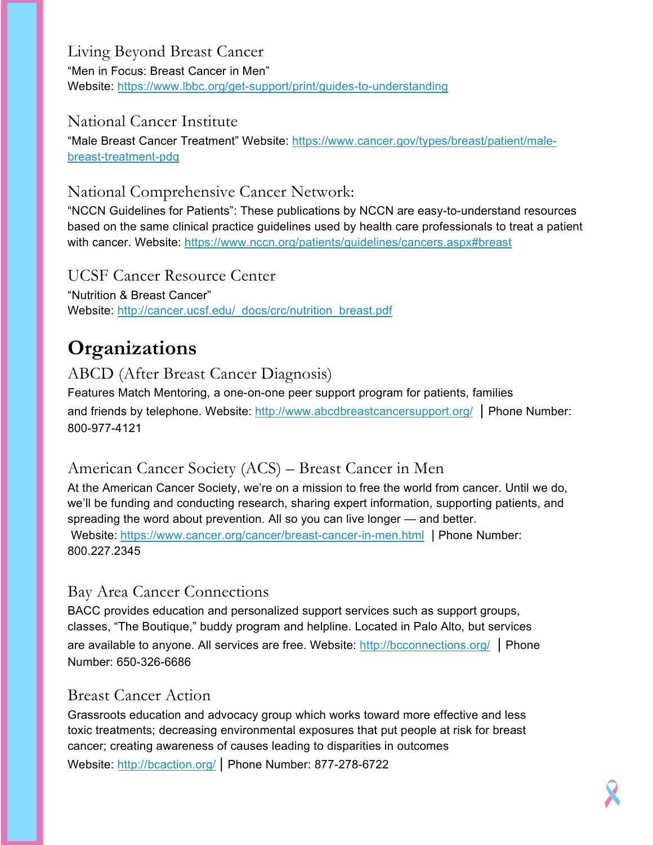Living Beyond Breast Cancer "Men in Focus: Breast Cancer in Men" Website:<https://www.lbbc.org/get-support/print/guides-to-understanding>

#### National Cancer Institute

"Male Breast Cancer Treatment" Website: [https://www.cancer.gov/types/breast/patient/male](https://www.cancer.gov/types/breast/patient/male-breast-treatment-pdq)[breast-treatment-pdq](https://www.cancer.gov/types/breast/patient/male-breast-treatment-pdq)

#### National Comprehensive Cancer Network:

"NCCN Guidelines for Patients": These publications by NCCN are easy-to-understand resources based on the same clinical practice guidelines used by health care professionals to treat a patient with cancer. Website:<https://www.nccn.org/patients/guidelines/cancers.aspx#breast>

UCSF Cancer Resource Center "Nutrition & Breast Cancer" Website: [http://cancer.ucsf.edu/\\_docs/crc/nutrition\\_breast.pdf](http://cancer.ucsf.edu/_docs/crc/nutrition_breast.pdf)

## **Organizations**

#### ABCD (After Breast Cancer Diagnosis)

Features Match Mentoring, a one-on-one peer support program for patients, families and friends by telephone. Website:<http://www.abcdbreastcancersupport.org/>| Phone Number: 800-977-4121

#### American Cancer Society (ACS) – Breast Cancer in Men

At the American Cancer Society, we're on a mission to free the world from cancer. Until we do, we'll be funding and conducting research, sharing expert information, supporting patients, and spreading the word about prevention. All so you can live longer — and better. Website: <https://www.cancer.org/cancer/breast-cancer-in-men.html> | Phone Number: 800.227.2345

#### Bay Area Cancer Connections

BACC provides education and personalized support services such as support groups, classes, "The Boutique," buddy program and helpline. Located in Palo Alto, but services are available to anyone. All services are free. Website:<http://bcconnections.org/> | Phone Number: 650-326-6686

#### Breast Cancer Action

Grassroots education and advocacy group which works toward more effective and less toxic treatments; decreasing environmental exposures that put people at risk for breast cancer; creating awareness of causes leading to disparities in outcomes

Website:<http://bcaction.org/> | Phone Number: 877-278-6722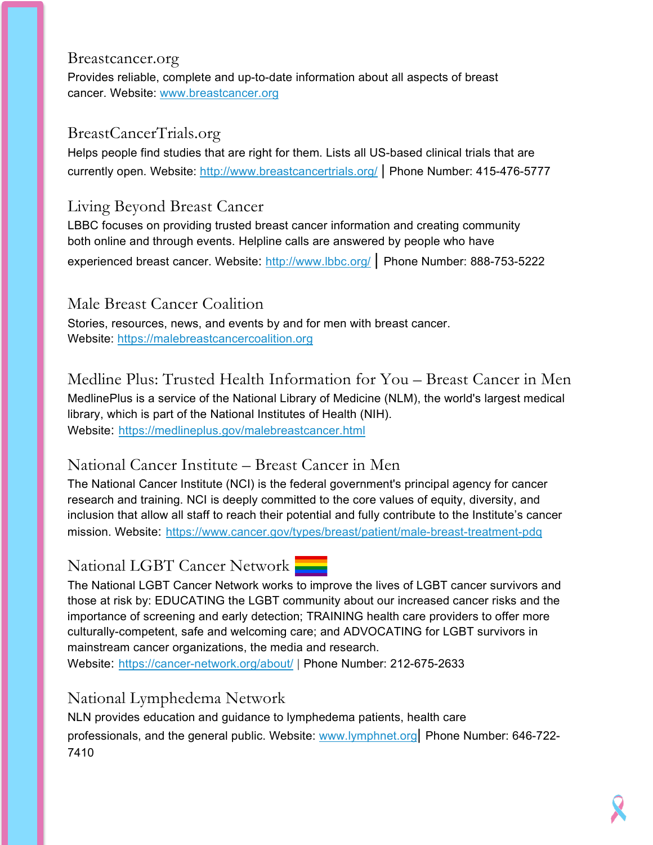#### Breastcancer.org

Provides reliable, complete and up-to-date information about all aspects of breast cancer. Website: [www.breastcancer.org](http://www.breastcancer.org/)

#### BreastCancerTrials.org

Helps people find studies that are right for them. Lists all US-based clinical trials that are currently open. Website:<http://www.breastcancertrials.org/> | Phone Number: 415-476-5777

#### Living Beyond Breast Cancer

LBBC focuses on providing trusted breast cancer information and creating community both online and through events. Helpline calls are answered by people who have experienced breast cancer. Website:<http://www.lbbc.org/> | Phone Number: 888-753-5222

#### Male Breast Cancer Coalition

Stories, resources, news, and events by and for men with breast cancer. Website: [https://malebreastcancercoalition.org](https://malebreastcancercoalition.org/)

Medline Plus: Trusted Health Information for You – Breast Cancer in Men MedlinePlus is a service of the National Library of Medicine (NLM), the world's largest medical library, which is part of the National Institutes of Health (NIH). Website: <https://medlineplus.gov/malebreastcancer.html>

#### National Cancer Institute – Breast Cancer in Men

The National Cancer Institute (NCI) is the federal government's principal agency for cancer research and training. NCI is deeply committed to the core values of equity, diversity, and inclusion that allow all staff to reach their potential and fully contribute to the Institute's cancer mission. Website: <https://www.cancer.gov/types/breast/patient/male-breast-treatment-pdq>

#### National LGBT Cancer Network

The National LGBT Cancer Network works to improve the lives of LGBT cancer survivors and those at risk by: EDUCATING the LGBT community about our increased cancer risks and the importance of screening and early detection; TRAINING health care providers to offer more culturally-competent, safe and welcoming care; and ADVOCATING for LGBT survivors in mainstream cancer organizations, the media and research.

Website: <https://cancer-network.org/about/> | Phone Number: 212-675-2633

## National Lymphedema Network

NLN provides education and guidance to lymphedema patients, health care professionals, and the general public. Website: [www.lymphnet.org|](http://www.lymphnet.org/) Phone Number: 646-722- 7410